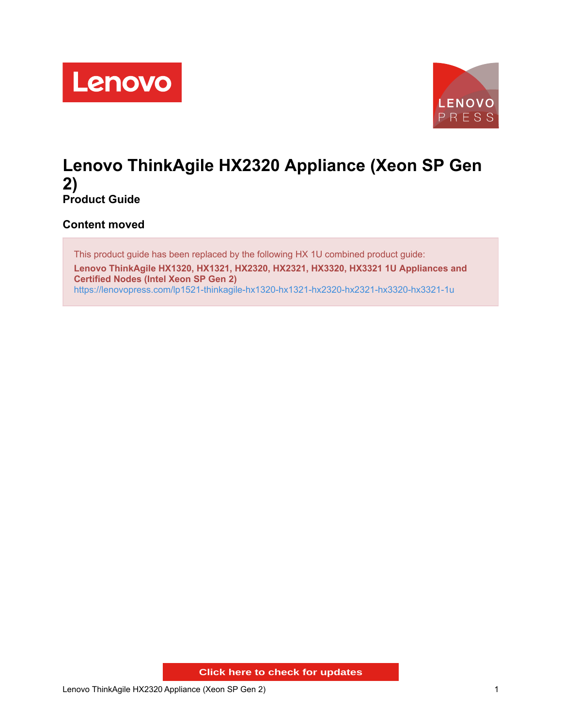



## **Lenovo ThinkAgile HX2320 Appliance (Xeon SP Gen 2) Product Guide**

**Content moved**

This product guide has been replaced by the following HX 1U combined product guide: **Lenovo ThinkAgile HX1320, HX1321, HX2320, HX2321, HX3320, HX3321 1U Appliances and Certified Nodes (Intel Xeon SP Gen 2)** <https://lenovopress.com/lp1521-thinkagile-hx1320-hx1321-hx2320-hx2321-hx3320-hx3321-1u>

**Click here to check for updates**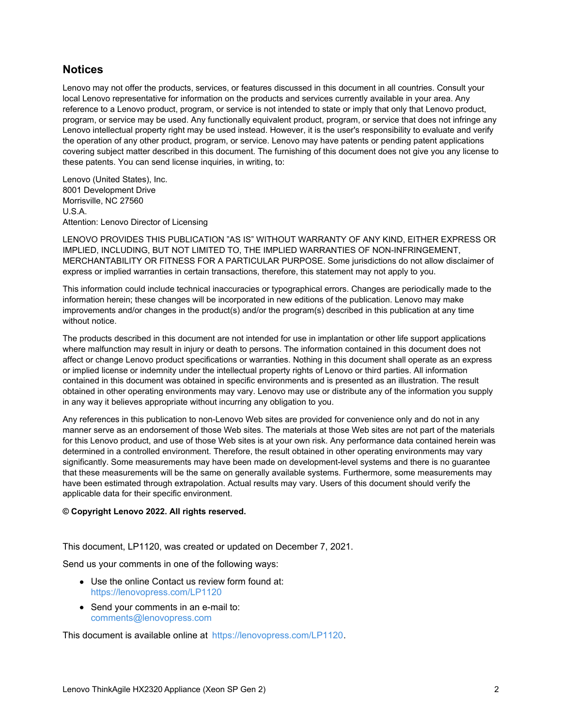## **Notices**

Lenovo may not offer the products, services, or features discussed in this document in all countries. Consult your local Lenovo representative for information on the products and services currently available in your area. Any reference to a Lenovo product, program, or service is not intended to state or imply that only that Lenovo product, program, or service may be used. Any functionally equivalent product, program, or service that does not infringe any Lenovo intellectual property right may be used instead. However, it is the user's responsibility to evaluate and verify the operation of any other product, program, or service. Lenovo may have patents or pending patent applications covering subject matter described in this document. The furnishing of this document does not give you any license to these patents. You can send license inquiries, in writing, to:

Lenovo (United States), Inc. 8001 Development Drive Morrisville, NC 27560 U.S.A. Attention: Lenovo Director of Licensing

LENOVO PROVIDES THIS PUBLICATION "AS IS" WITHOUT WARRANTY OF ANY KIND, EITHER EXPRESS OR IMPLIED, INCLUDING, BUT NOT LIMITED TO, THE IMPLIED WARRANTIES OF NON-INFRINGEMENT, MERCHANTABILITY OR FITNESS FOR A PARTICULAR PURPOSE. Some jurisdictions do not allow disclaimer of express or implied warranties in certain transactions, therefore, this statement may not apply to you.

This information could include technical inaccuracies or typographical errors. Changes are periodically made to the information herein; these changes will be incorporated in new editions of the publication. Lenovo may make improvements and/or changes in the product(s) and/or the program(s) described in this publication at any time without notice.

The products described in this document are not intended for use in implantation or other life support applications where malfunction may result in injury or death to persons. The information contained in this document does not affect or change Lenovo product specifications or warranties. Nothing in this document shall operate as an express or implied license or indemnity under the intellectual property rights of Lenovo or third parties. All information contained in this document was obtained in specific environments and is presented as an illustration. The result obtained in other operating environments may vary. Lenovo may use or distribute any of the information you supply in any way it believes appropriate without incurring any obligation to you.

Any references in this publication to non-Lenovo Web sites are provided for convenience only and do not in any manner serve as an endorsement of those Web sites. The materials at those Web sites are not part of the materials for this Lenovo product, and use of those Web sites is at your own risk. Any performance data contained herein was determined in a controlled environment. Therefore, the result obtained in other operating environments may vary significantly. Some measurements may have been made on development-level systems and there is no guarantee that these measurements will be the same on generally available systems. Furthermore, some measurements may have been estimated through extrapolation. Actual results may vary. Users of this document should verify the applicable data for their specific environment.

## **© Copyright Lenovo 2022. All rights reserved.**

This document, LP1120, was created or updated on December 7, 2021.

Send us your comments in one of the following ways:

- Use the online Contact us review form found at: <https://lenovopress.com/LP1120>
- Send your comments in an e-mail to: [comments@lenovopress.com](mailto:comments@lenovopress.com?subject=Feedback for LP1120)

This document is available online at <https://lenovopress.com/LP1120>.